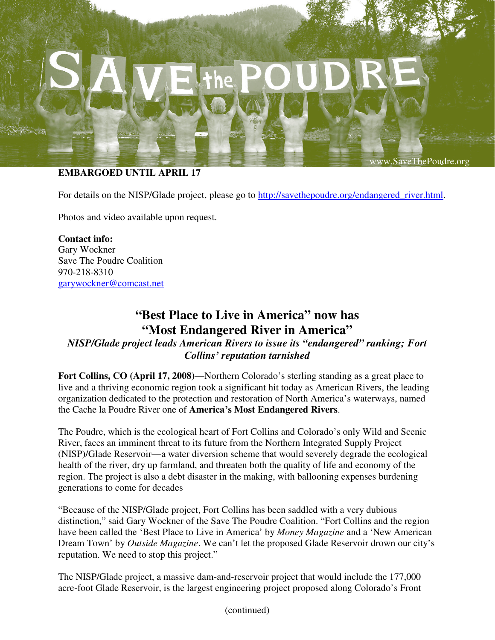## **EMBARGOED UNTIL APRIL 17**

www.SaveThePoudre.org

For details on the NISP/Glade project, please go to http://savethepoudre.org/endangered\_river.html.

Photos and video available upon request.

**Contact info:** Gary Wockner Save The Poudre Coalition 970-218-8310 garywockner@comcast.net

# **"Best Place to Live in America" now has "Most Endangered River in America"**

*NISP/Glade project leads American Rivers to issue its "endangered" ranking; Fort Collins' reputation tarnished* 

**Fort Collins, CO (April 17, 2008)**—Northern Colorado's sterling standing as a great place to live and a thriving economic region took a significant hit today as American Rivers, the leading organization dedicated to the protection and restoration of North America's waterways, named the Cache la Poudre River one of **America's Most Endangered Rivers**.

The Poudre, which is the ecological heart of Fort Collins and Colorado's only Wild and Scenic River, faces an imminent threat to its future from the Northern Integrated Supply Project (NISP)/Glade Reservoir—a water diversion scheme that would severely degrade the ecological health of the river, dry up farmland, and threaten both the quality of life and economy of the region. The project is also a debt disaster in the making, with ballooning expenses burdening generations to come for decades

"Because of the NISP/Glade project, Fort Collins has been saddled with a very dubious distinction," said Gary Wockner of the Save The Poudre Coalition. "Fort Collins and the region have been called the 'Best Place to Live in America' by *Money Magazine* and a 'New American Dream Town' by *Outside Magazine*. We can't let the proposed Glade Reservoir drown our city's reputation. We need to stop this project."

The NISP/Glade project, a massive dam-and-reservoir project that would include the 177,000 acre-foot Glade Reservoir, is the largest engineering project proposed along Colorado's Front

(continued)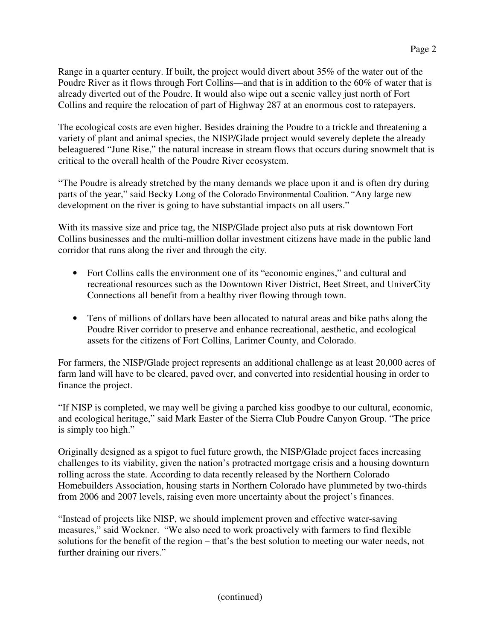Range in a quarter century. If built, the project would divert about 35% of the water out of the Poudre River as it flows through Fort Collins—and that is in addition to the 60% of water that is already diverted out of the Poudre. It would also wipe out a scenic valley just north of Fort Collins and require the relocation of part of Highway 287 at an enormous cost to ratepayers.

The ecological costs are even higher. Besides draining the Poudre to a trickle and threatening a variety of plant and animal species, the NISP/Glade project would severely deplete the already beleaguered "June Rise," the natural increase in stream flows that occurs during snowmelt that is critical to the overall health of the Poudre River ecosystem.

"The Poudre is already stretched by the many demands we place upon it and is often dry during parts of the year," said Becky Long of the Colorado Environmental Coalition. "Any large new development on the river is going to have substantial impacts on all users."

With its massive size and price tag, the NISP/Glade project also puts at risk downtown Fort Collins businesses and the multi-million dollar investment citizens have made in the public land corridor that runs along the river and through the city.

- Fort Collins calls the environment one of its "economic engines," and cultural and recreational resources such as the Downtown River District, Beet Street, and UniverCity Connections all benefit from a healthy river flowing through town.
- Tens of millions of dollars have been allocated to natural areas and bike paths along the Poudre River corridor to preserve and enhance recreational, aesthetic, and ecological assets for the citizens of Fort Collins, Larimer County, and Colorado.

For farmers, the NISP/Glade project represents an additional challenge as at least 20,000 acres of farm land will have to be cleared, paved over, and converted into residential housing in order to finance the project.

"If NISP is completed, we may well be giving a parched kiss goodbye to our cultural, economic, and ecological heritage," said Mark Easter of the Sierra Club Poudre Canyon Group. "The price is simply too high."

Originally designed as a spigot to fuel future growth, the NISP/Glade project faces increasing challenges to its viability, given the nation's protracted mortgage crisis and a housing downturn rolling across the state. According to data recently released by the Northern Colorado Homebuilders Association, housing starts in Northern Colorado have plummeted by two-thirds from 2006 and 2007 levels, raising even more uncertainty about the project's finances.

"Instead of projects like NISP, we should implement proven and effective water-saving measures," said Wockner. "We also need to work proactively with farmers to find flexible solutions for the benefit of the region – that's the best solution to meeting our water needs, not further draining our rivers."